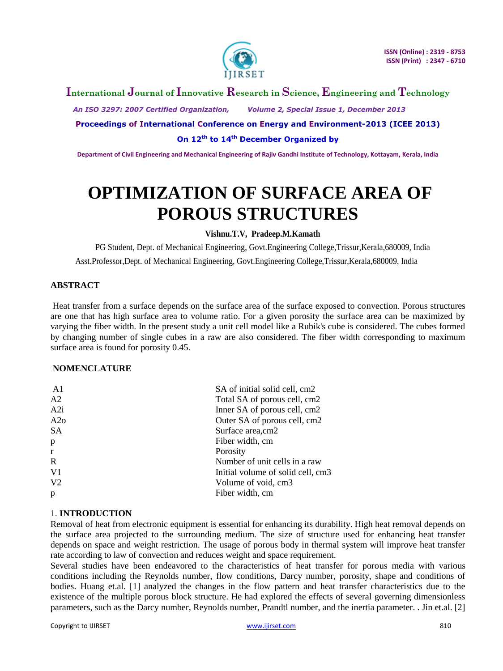

## **International Journal of Innovative Research in Science, Engineering and Technology**

 *An ISO 3297: 2007 Certified Organization, Volume 2, Special Issue 1, December 2013*

#### **Proceedings of International Conference on Energy and Environment-2013 (ICEE 2013)**

#### **On 12th to 14th December Organized by**

**Department of Civil Engineering and Mechanical Engineering of Rajiv Gandhi Institute of Technology, Kottayam, Kerala, India**

# **OPTIMIZATION OF SURFACE AREA OF POROUS STRUCTURES**

#### **Vishnu.T.V, Pradeep.M.Kamath**

PG Student, Dept. of Mechanical Engineering, Govt.Engineering College,Trissur,Kerala,680009, India Asst.Professor,Dept. of Mechanical Engineering, Govt.Engineering College,Trissur,Kerala,680009, India

#### **ABSTRACT**

Heat transfer from a surface depends on the surface area of the surface exposed to convection. Porous structures are one that has high surface area to volume ratio. For a given porosity the surface area can be maximized by varying the fiber width. In the present study a unit cell model like a Rubik's cube is considered. The cubes formed by changing number of single cubes in a raw are also considered. The fiber width corresponding to maximum surface area is found for porosity 0.45.

#### **NOMENCLATURE**

| SA of initial solid cell, cm2     |
|-----------------------------------|
| Total SA of porous cell, cm2      |
| Inner SA of porous cell, cm2      |
| Outer SA of porous cell, cm2      |
| Surface area, cm2                 |
| Fiber width, cm                   |
| Porosity                          |
| Number of unit cells in a raw     |
| Initial volume of solid cell, cm3 |
| Volume of void, cm3               |
| Fiber width, cm                   |
|                                   |

#### 1. **INTRODUCTION**

Removal of heat from electronic equipment is essential for enhancing its durability. High heat removal depends on the surface area projected to the surrounding medium. The size of structure used for enhancing heat transfer depends on space and weight restriction. The usage of porous body in thermal system will improve heat transfer rate according to law of convection and reduces weight and space requirement.

Several studies have been endeavored to the characteristics of heat transfer for porous media with various conditions including the Reynolds number, flow conditions, Darcy number, porosity, shape and conditions of bodies. Huang et.al. [1] analyzed the changes in the flow pattern and heat transfer characteristics due to the existence of the multiple porous block structure. He had explored the effects of several governing dimensionless parameters, such as the Darcy number, Reynolds number, Prandtl number, and the inertia parameter. . Jin et.al. [2]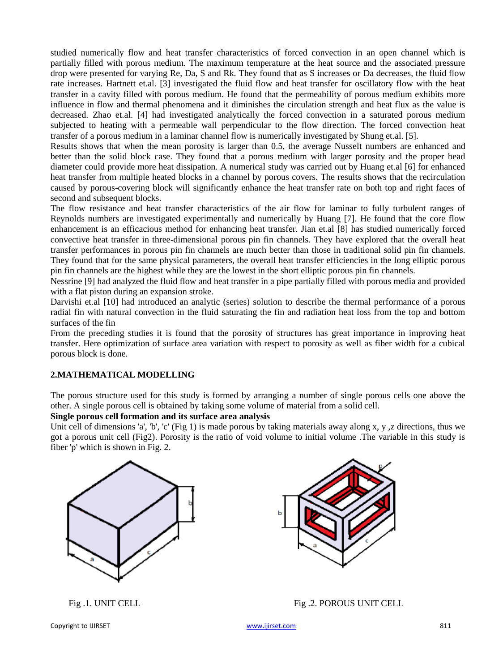studied numerically flow and heat transfer characteristics of forced convection in an open channel which is partially filled with porous medium. The maximum temperature at the heat source and the associated pressure drop were presented for varying Re, Da, S and Rk. They found that as S increases or Da decreases, the fluid flow rate increases. Hartnett et.al. [3] investigated the fluid flow and heat transfer for oscillatory flow with the heat transfer in a cavity filled with porous medium. He found that the permeability of porous medium exhibits more influence in flow and thermal phenomena and it diminishes the circulation strength and heat flux as the value is decreased. Zhao et.al. [4] had investigated analytically the forced convection in a saturated porous medium subjected to heating with a permeable wall perpendicular to the flow direction. The forced convection heat transfer of a porous medium in a laminar channel flow is numerically investigated by Shung et.al. [5].

Results shows that when the mean porosity is larger than 0.5, the average Nusselt numbers are enhanced and better than the solid block case. They found that a porous medium with larger porosity and the proper bead diameter could provide more heat dissipation. A numerical study was carried out by Huang et.al [6] for enhanced heat transfer from multiple heated blocks in a channel by porous covers. The results shows that the recirculation caused by porous-covering block will significantly enhance the heat transfer rate on both top and right faces of second and subsequent blocks.

The flow resistance and heat transfer characteristics of the air flow for laminar to fully turbulent ranges of Reynolds numbers are investigated experimentally and numerically by Huang [7]. He found that the core flow enhancement is an efficacious method for enhancing heat transfer. Jian et.al [8] has studied numerically forced convective heat transfer in three-dimensional porous pin fin channels. They have explored that the overall heat transfer performances in porous pin fin channels are much better than those in traditional solid pin fin channels. They found that for the same physical parameters, the overall heat transfer efficiencies in the long elliptic porous pin fin channels are the highest while they are the lowest in the short elliptic porous pin fin channels.

Nessrine [9] had analyzed the fluid flow and heat transfer in a pipe partially filled with porous media and provided with a flat piston during an expansion stroke.

Darvishi et.al [10] had introduced an analytic (series) solution to describe the thermal performance of a porous radial fin with natural convection in the fluid saturating the fin and radiation heat loss from the top and bottom surfaces of the fin

From the preceding studies it is found that the porosity of structures has great importance in improving heat transfer. Here optimization of surface area variation with respect to porosity as well as fiber width for a cubical porous block is done.

#### **2.MATHEMATICAL MODELLING**

The porous structure used for this study is formed by arranging a number of single porous cells one above the other. A single porous cell is obtained by taking some volume of material from a solid cell.

#### **Single porous cell formation and its surface area analysis**

Unit cell of dimensions 'a', 'b', 'c' (Fig 1) is made porous by taking materials away along x, y, z directions, thus we got a porous unit cell (Fig2). Porosity is the ratio of void volume to initial volume .The variable in this study is fiber 'p' which is shown in Fig. 2.





Fig .1. UNIT CELL Fig .2. POROUS UNIT CELL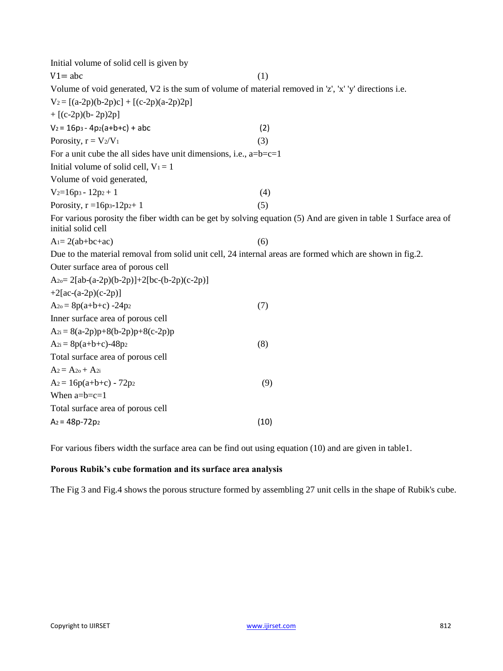| Initial volume of solid cell is given by                                                                 |                                                                                                                  |
|----------------------------------------------------------------------------------------------------------|------------------------------------------------------------------------------------------------------------------|
| $V1 = abc$                                                                                               | (1)                                                                                                              |
| Volume of void generated, V2 is the sum of volume of material removed in 'z', 'x' 'y' directions i.e.    |                                                                                                                  |
| $V_2 = [(a-2p)(b-2p)c] + [(c-2p)(a-2p)2p]$                                                               |                                                                                                                  |
| $+[(c-2p)(b-2p)2p]$                                                                                      |                                                                                                                  |
| $V_2 = 16p_3 - 4p_2(a+b+c) + abc$                                                                        | (2)                                                                                                              |
| Porosity, $r = V_2/V_1$                                                                                  | (3)                                                                                                              |
| For a unit cube the all sides have unit dimensions, i.e., $a=b=c=1$                                      |                                                                                                                  |
| Initial volume of solid cell, $V_1 = 1$                                                                  |                                                                                                                  |
| Volume of void generated,                                                                                |                                                                                                                  |
| $V_2=16p_3 - 12p_2 + 1$                                                                                  | (4)                                                                                                              |
| Porosity, $r = 16p_3 - 12p_2 + 1$                                                                        | (5)                                                                                                              |
| initial solid cell                                                                                       | For various porosity the fiber width can be get by solving equation (5) And are given in table 1 Surface area of |
| $A = 2(ab+bc+ac)$                                                                                        | (6)                                                                                                              |
| Due to the material removal from solid unit cell, 24 internal areas are formed which are shown in fig.2. |                                                                                                                  |
| Outer surface area of porous cell                                                                        |                                                                                                                  |
| A <sub>2o</sub> = 2[ab-(a-2p)(b-2p)]+2[bc-(b-2p)(c-2p)]                                                  |                                                                                                                  |
| $+2[ac-(a-2p)(c-2p)]$                                                                                    |                                                                                                                  |
| $A_{2o} = 8p(a+b+c) -24p_2$                                                                              | (7)                                                                                                              |
| Inner surface area of porous cell                                                                        |                                                                                                                  |
| $A_{2i} = 8(a-2p)p+8(b-2p)p+8(c-2p)p$                                                                    |                                                                                                                  |
| $A_{2i} = 8p(a+b+c)-48p_2$                                                                               | (8)                                                                                                              |
| Total surface area of porous cell                                                                        |                                                                                                                  |
| $A_2 = A_{20} + A_{2i}$                                                                                  |                                                                                                                  |
| $A_2 = 16p(a+b+c) - 72p_2$                                                                               | (9)                                                                                                              |
| When $a=b=c=1$                                                                                           |                                                                                                                  |
| Total surface area of porous cell                                                                        |                                                                                                                  |
| $A_2 = 48p - 72p_2$                                                                                      | (10)                                                                                                             |

For various fibers width the surface area can be find out using equation (10) and are given in table1.

## **Porous Rubik's cube formation and its surface area analysis**

The Fig 3 and Fig.4 shows the porous structure formed by assembling 27 unit cells in the shape of Rubik's cube.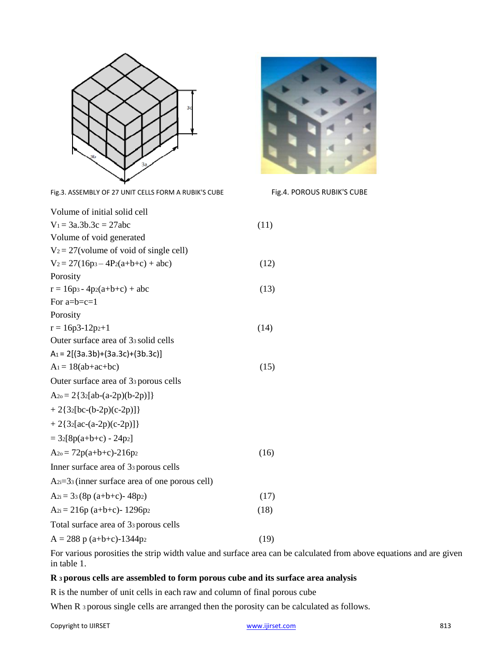

| Fig.3. ASSEMBLY OF 27 UNIT CELLS FORM A RUBIK'S CUBE | Fig.4. POROUS RUBIK'S CUBE |
|------------------------------------------------------|----------------------------|
| Volume of initial solid cell                         |                            |
| $V_1 = 3a.3b.3c = 27abc$                             | (11)                       |
| Volume of void generated                             |                            |
| $V_2 = 27$ (volume of void of single cell)           |                            |
| $V_2 = 27(16p_3 - 4P_2(a+b+c) + abc)$                | (12)                       |
| Porosity                                             |                            |
| $r = 16p_3 - 4p_2(a+b+c) + abc$                      | (13)                       |
| For $a=b=c=1$                                        |                            |
| Porosity                                             |                            |
| $r = 16p3-12p2+1$                                    | (14)                       |
| Outer surface area of 33 solid cells                 |                            |
| $A_1 = 2[(3a.3b)+(3a.3c)+(3b.3c)]$                   |                            |
| $A_1 = 18(ab+ac+bc)$                                 | (15)                       |
| Outer surface area of 33 porous cells                |                            |
| $A_{2o} = 2{32[ab-(a-2p)(b-2p)]}$                    |                            |
| $+2{32[bc-(b-2p)(c-2p)]}$                            |                            |
| $+2{32[ac-(a-2p)(c-2p)]}$                            |                            |
| $= 32[8p(a+b+c) - 24p2]$                             |                            |
| $A_{20} = 72p(a+b+c)-216p_2$                         | (16)                       |
| Inner surface area of 33 porous cells                |                            |
| $A_{2i}=33$ (inner surface area of one porous cell)  |                            |
| $A_{2i} = 33(8p (a+b+c)-48p_2)$                      | (17)                       |
| $A_{2i} = 216p (a+b+c) - 1296p^2$                    | (18)                       |
| Total surface area of 33 porous cells                |                            |
| $A = 288$ p (a+b+c)-1344p <sub>2</sub>               | (19)                       |



### **R 3 porous cells are assembled to form porous cube and its surface area analysis**

R is the number of unit cells in each raw and column of final porous cube

When R 3 porous single cells are arranged then the porosity can be calculated as follows.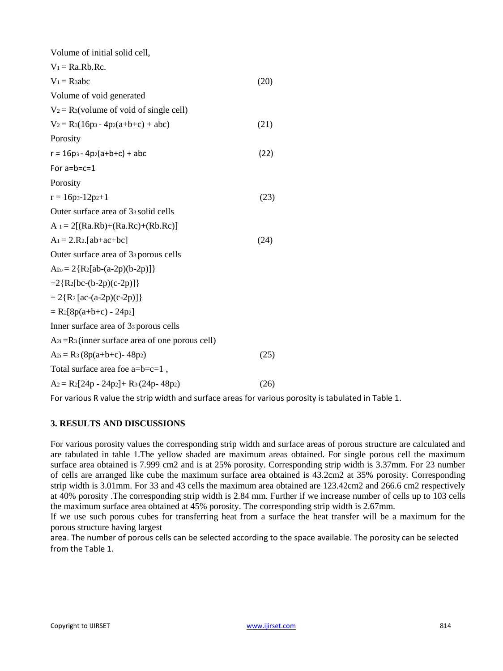| Volume of initial solid cell,                          |      |
|--------------------------------------------------------|------|
| $V_1 = Ra.Rb.Rc.$                                      |      |
| $V_1 = R_3abc$                                         | (20) |
| Volume of void generated                               |      |
| $V_2 = R_3$ (volume of void of single cell)            |      |
| $V_2 = R_3(16p_3 - 4p_2(a+b+c) + abc)$                 | (21) |
| Porosity                                               |      |
| $r = 16p_3 - 4p_2(a+b+c) + abc$                        | (22) |
| For $a=b=c=1$                                          |      |
| Porosity                                               |      |
| $r = 16p_3 - 12p_2 + 1$                                | (23) |
| Outer surface area of 33 solid cells                   |      |
| $A_1 = 2[(Ra.Rb)+(Ra.Rc)+(Rb.Rc)]$                     |      |
| $A_1 = 2.R_2$ [ab+ac+bc]                               | (24) |
| Outer surface area of 3 <sup>3</sup> porous cells      |      |
| $A_{2o} = 2 R_2 [ab-(a-2p)(b-2p)]$                     |      |
| +2{R <sub>2</sub> [bc-(b-2p)(c-2p)]}                   |      |
| $+2{R_2 \left[ \text{ac}-(a-2p)(c-2p) \right] }$       |      |
| $= R_2[8p(a+b+c) - 24p_2]$                             |      |
| Inner surface area of 3 <sup>3</sup> porous cells      |      |
| $A_{2i} = R_3$ (inner surface area of one porous cell) |      |
| $A_{2i} = R_3 (8p(a+b+c) - 48p_2)$                     | (25) |
| Total surface area foe $a=b=c=1$ ,                     |      |
| $A_2 = R_2[24p - 24p_2] + R_3(24p - 48p_2)$            | (26) |

For various R value the strip width and surface areas for various porosity is tabulated in Table 1.

#### **3. RESULTS AND DISCUSSIONS**

For various porosity values the corresponding strip width and surface areas of porous structure are calculated and are tabulated in table 1.The yellow shaded are maximum areas obtained. For single porous cell the maximum surface area obtained is 7.999 cm2 and is at 25% porosity. Corresponding strip width is 3.37mm. For 23 number of cells are arranged like cube the maximum surface area obtained is 43.2cm2 at 35% porosity. Corresponding strip width is 3.01mm. For 33 and 43 cells the maximum area obtained are 123.42cm2 and 266.6 cm2 respectively at 40% porosity .The corresponding strip width is 2.84 mm. Further if we increase number of cells up to 103 cells the maximum surface area obtained at 45% porosity. The corresponding strip width is 2.67mm.

If we use such porous cubes for transferring heat from a surface the heat transfer will be a maximum for the porous structure having largest

area. The number of porous cells can be selected according to the space available. The porosity can be selected from the Table 1.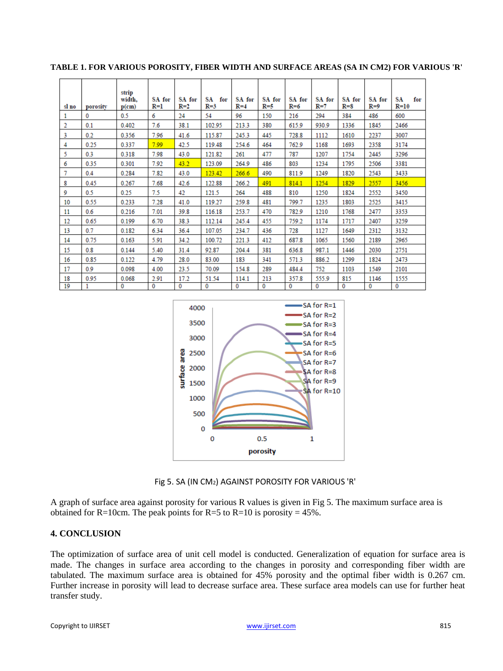| sl no          | porosity | strip<br>width.<br>$p$ (cm) | SA for<br>R=1 | SA for<br>$R=2$ | SA<br>for<br>$R=3$ | SA for<br>$R=4$ | SA for<br>$R = 5$ | SA for<br>$R=6$ | SA for<br>$R=7$ | SA for<br>$R = 8$ | SA for<br>$R=9$ | SА<br>for<br>$R=10$ |
|----------------|----------|-----------------------------|---------------|-----------------|--------------------|-----------------|-------------------|-----------------|-----------------|-------------------|-----------------|---------------------|
| 1              | 0        | 0.5                         | 6             | 24              | 54                 | 96              | 150               | 216             | 294             | 384               | 486             | 600                 |
| $\overline{2}$ | 0.1      | 0.402                       | 7.6           | 38.1            | 102.95             | 213.3           | 380               | 615.9           | 930.9           | 1336              | 1845            | 2466                |
| 3              | 0.2      | 0.356                       | 7.96          | 41.6            | 115.87             | 245.3           | 445               | 728.8           | 1112            | 1610              | 2237            | 3007                |
| 4              | 0.25     | 0.337                       | 7.99          | 42.5            | 119.48             | 254.6           | 464               | 762.9           | 1168            | 1693              | 2358            | 3174                |
| 5              | 0.3      | 0.318                       | 7.98          | 43.0            | 121.82             | 261             | 477               | 787             | 1207            | 1754              | 2445            | 3296                |
| 6              | 0.35     | 0.301                       | 7.92          | 43.2            | 123.09             | 264.9           | 486               | 803             | 1234            | 1795              | 2506            | 3381                |
| 7              | 0.4      | 0.284                       | 7.82          | 43.0            | 123.42             | 266.6           | 490               | 811.9           | 1249            | 1820              | 2543            | 3433                |
| 8              | 0.45     | 0.267                       | 7.68          | 42.6            | 122.88             | 266.2           | 491               | 814.1           | 1254            | 1829              | 2557            | 3456                |
| 9              | 0.5      | 0.25                        | 7.5           | 42              | 121.5              | 264             | 488               | 810             | 1250            | 1824              | 2552            | 3450                |
| 10             | 0.55     | 0.233                       | 7.28          | 41.0            | 119.27             | 259.8           | 481               | 799.7           | 1235            | 1803              | 2525            | 3415                |
| 11             | 0.6      | 0.216                       | 7.01          | 39.8            | 116.18             | 253.7           | 470               | 782.9           | 1210            | 1768              | 2477            | 3353                |
| 12             | 0.65     | 0.199                       | 6.70          | 38.3            | 112.14             | 245.4           | 455               | 759.2           | 1174            | 1717              | 2407            | 3259                |
| 13             | 0.7      | 0.182                       | 6.34          | 36.4            | 107.05             | 234.7           | 436               | 728             | 1127            | 1649              | 2312            | 3132                |
| 14             | 0.75     | 0.163                       | 5.91          | 34.2            | 100.72             | 221.3           | 412               | 687.8           | 1065            | 1560              | 2189            | 2965                |
| 15             | 0.8      | 0.144                       | 5.40          | 31.4            | 92.87              | 204.4           | 381               | 636.8           | 987.1           | 1446              | 2030            | 2751                |
| 16             | 0.85     | 0.122                       | 4.79          | 28.0            | 83.00              | 183             | 341               | 571.3           | 886.2           | 1299              | 1824            | 2473                |
| 17             | 0.9      | 0.098                       | 4.00          | 23.5            | 70.09              | 154.8           | 289               | 484.4           | 752             | 1103              | 1549            | 2101                |
| 18             | 0.95     | 0.068                       | 2.91          | 17.2            | 51.54              | 114.1           | 213               | 357.8           | 555.9           | 815               | 1146            | 1555                |
| 19             | 1        | 0                           | $\mathbf{0}$  | 0               | 0                  | $\Omega$        | 0                 | 0               | 0               | 0                 | 0               | $\Omega$            |

**TABLE 1. FOR VARIOUS POROSITY, FIBER WIDTH AND SURFACE AREAS (SA IN CM2) FOR VARIOUS 'R'**



Fig 5. SA (IN CM2) AGAINST POROSITY FOR VARIOUS 'R'

A graph of surface area against porosity for various R values is given in Fig 5. The maximum surface area is obtained for R=10cm. The peak points for R=5 to R=10 is porosity =  $45\%$ .

#### **4. CONCLUSION**

The optimization of surface area of unit cell model is conducted. Generalization of equation for surface area is made. The changes in surface area according to the changes in porosity and corresponding fiber width are tabulated. The maximum surface area is obtained for 45% porosity and the optimal fiber width is 0.267 cm. Further increase in porosity will lead to decrease surface area. These surface area models can use for further heat transfer study.